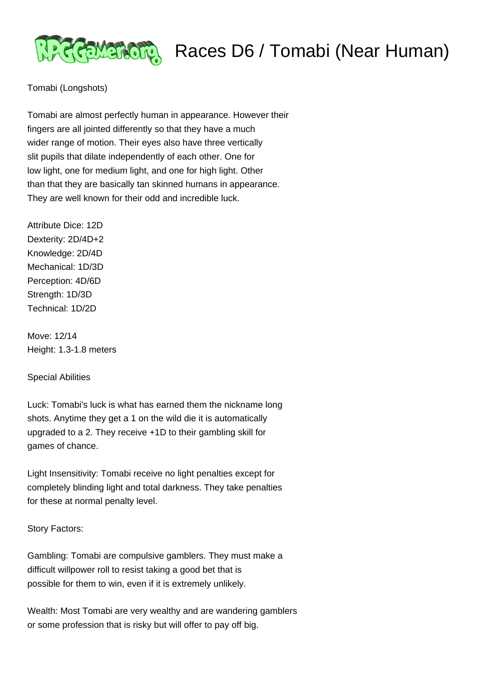

## RRaMarchiel Races D6 / Tomabi (Near Human)

Tomabi (Longshots)

Tomabi are almost perfectly human in appearance. However their fingers are all jointed differently so that they have a much wider range of motion. Their eyes also have three vertically slit pupils that dilate independently of each other. One for low light, one for medium light, and one for high light. Other than that they are basically tan skinned humans in appearance. They are well known for their odd and incredible luck.

Attribute Dice: 12D Dexterity: 2D/4D+2 Knowledge: 2D/4D Mechanical: 1D/3D Perception: 4D/6D Strength: 1D/3D Technical: 1D/2D

Move: 12/14 Height: 1.3-1.8 meters

## Special Abilities

Luck: Tomabi's luck is what has earned them the nickname long shots. Anytime they get a 1 on the wild die it is automatically upgraded to a 2. They receive +1D to their gambling skill for games of chance.

Light Insensitivity: Tomabi receive no light penalties except for completely blinding light and total darkness. They take penalties for these at normal penalty level.

## Story Factors:

Gambling: Tomabi are compulsive gamblers. They must make a difficult willpower roll to resist taking a good bet that is possible for them to win, even if it is extremely unlikely.

Wealth: Most Tomabi are very wealthy and are wandering gamblers or some profession that is risky but will offer to pay off big.